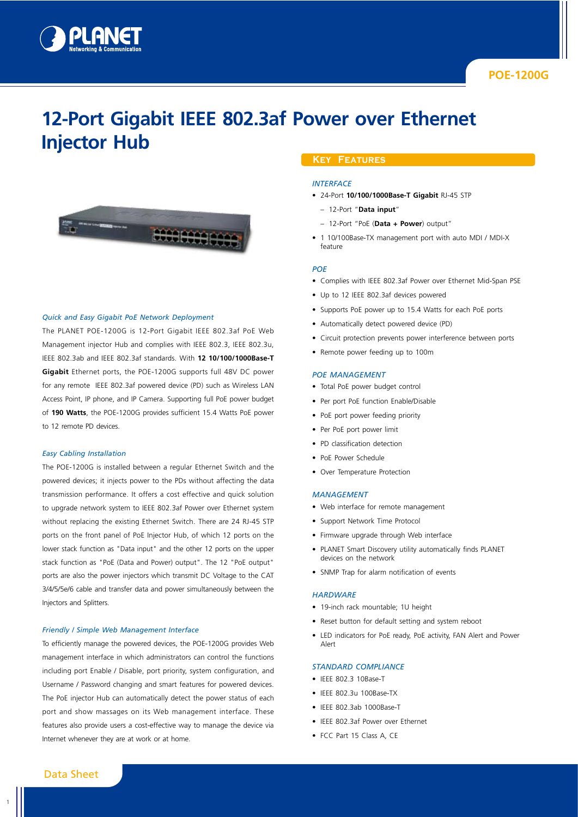

# **12-Port Gigabit IEEE 802.3af Power over Ethernet Injector Hub**



#### *Quick and Easy Gigabit PoE Network Deployment*

The PLANET POE-1200G is 12-Port Gigabit IEEE 802.3af PoE Web Management injector Hub and complies with IEEE 802.3, IEEE 802.3u, IEEE 802.3ab and IEEE 802.3af standards. With **12 10/100/1000Base-T Gigabit** Ethernet ports, the POE-1200G supports full 48V DC power for any remote IEEE 802.3af powered device (PD) such as Wireless LAN Access Point, IP phone, and IP Camera. Supporting full PoE power budget of **190 Watts**, the POE-1200G provides sufficient 15.4 Watts PoE power to 12 remote PD devices.

#### *Easy Cabling Installation*

The POE-1200G is installed between a regular Ethernet Switch and the powered devices; it injects power to the PDs without affecting the data transmission performance. It offers a cost effective and quick solution to upgrade network system to IEEE 802.3af Power over Ethernet system without replacing the existing Ethernet Switch. There are 24 RJ-45 STP ports on the front panel of PoE Injector Hub, of which 12 ports on the lower stack function as "Data input" and the other 12 ports on the upper stack function as "PoE (Data and Power) output". The 12 "PoE output" ports are also the power injectors which transmit DC Voltage to the CAT 3/4/5/5e/6 cable and transfer data and power simultaneously between the Injectors and Splitters.

#### *Friendly / Simple Web Management Interface*

To efficiently manage the powered devices, the POE-1200G provides Web management interface in which administrators can control the functions including port Enable / Disable, port priority, system configuration, and Username / Password changing and smart features for powered devices. The PoE injector Hub can automatically detect the power status of each port and show massages on its Web management interface. These features also provide users a cost-effective way to manage the device via Internet whenever they are at work or at home.

## **Key Features**

#### *Interface*

- 24-Port **10/100/1000Base-T Gigabit** RJ-45 STP
	- 12-Port "**Data input**"
	- 12-Port "PoE (**Data + Power**) output"
- 1 10/100Base-TX management port with auto MDI / MDI-X feature

#### *PoE*

- Complies with IEEE 802.3af Power over Ethernet Mid-Span PSE
- Up to 12 IEEE 802.3af devices powered
- Supports PoE power up to 15.4 Watts for each PoE ports
- Automatically detect powered device (PD)
- Circuit protection prevents power interference between ports
- Remote power feeding up to 100m

#### *PoE Management*

- Total PoE power budget control
- Per port PoE function Enable/Disable
- PoE port power feeding priority
- Per PoE port power limit
- PD classification detection
- PoE Power Schedule
- Over Temperature Protection

#### *Management*

- Web interface for remote management
- Support Network Time Protocol
- Firmware upgrade through Web interface
- PLANET Smart Discovery utility automatically finds PLANET devices on the network
- SNMP Trap for alarm notification of events

#### *Hardware*

- 19-inch rack mountable; 1U height
- Reset button for default setting and system reboot
- LED indicators for PoE ready, PoE activity, FAN Alert and Power Alert

#### *Standard Compliance*

- IEEE 802.3 10Base-T
- IFFE 802.3u 100Base-TX
- IEEE 802.3ab 1000Base-T
- IEEE 802.3af Power over Ethernet
- FCC Part 15 Class A, CE

# Data Sheet

1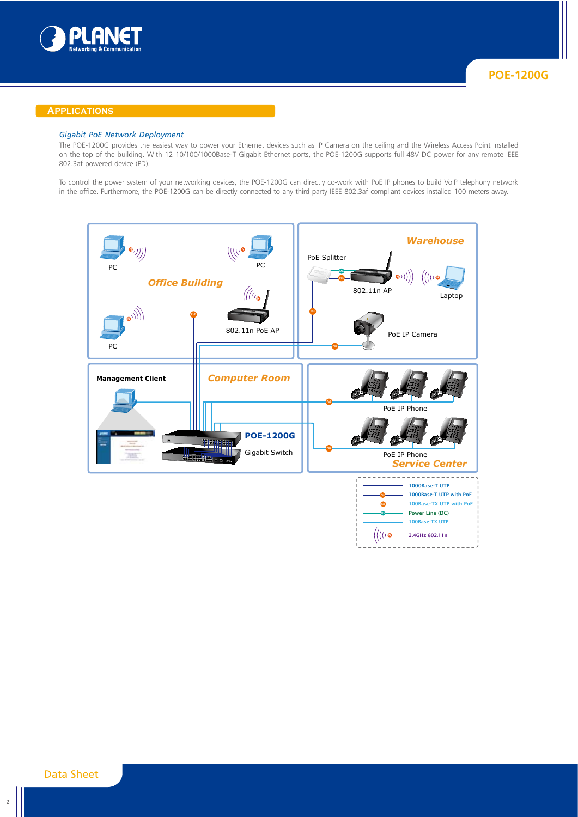

## **Applications**

## *Gigabit PoE Network Deployment*

The POE-1200G provides the easiest way to power your Ethernet devices such as IP Camera on the ceiling and the Wireless Access Point installed on the top of the building. With 12 10/100/1000Base-T Gigabit Ethernet ports, the POE-1200G supports full 48V DC power for any remote IEEE 802.3af powered device (PD).

To control the power system of your networking devices, the POE-1200G can directly co-work with PoE IP phones to build VoIP telephony network in the office. Furthermore, the POE-1200G can be directly connected to any third party IEEE 802.3af compliant devices installed 100 meters away.

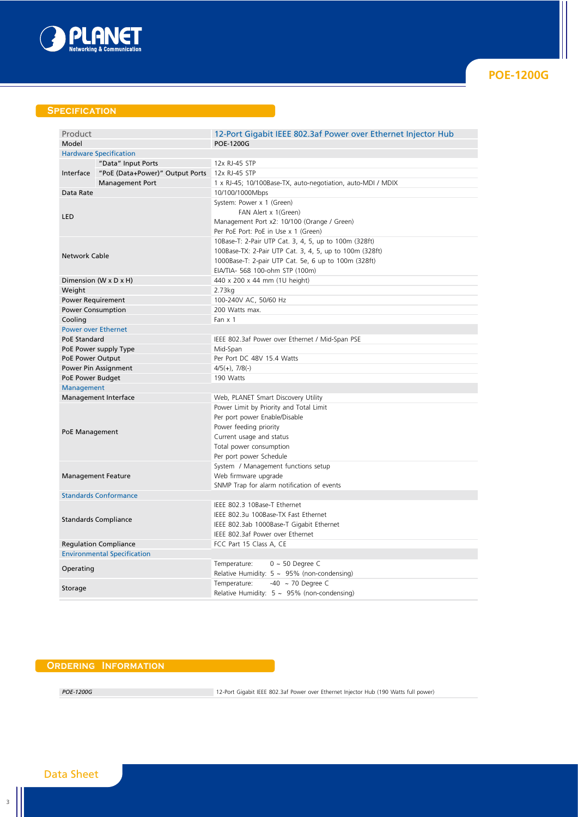

# **Specification**

| Product                            |                                 |                                                               |
|------------------------------------|---------------------------------|---------------------------------------------------------------|
|                                    |                                 | 12-Port Gigabit IEEE 802.3af Power over Ethernet Injector Hub |
| Model                              |                                 | <b>POE-1200G</b>                                              |
| <b>Hardware Specification</b>      |                                 |                                                               |
|                                    | "Data" Input Ports              | 12x RJ-45 STP                                                 |
| Interface                          | "PoE (Data+Power)" Output Ports | 12x RJ-45 STP                                                 |
|                                    | <b>Management Port</b>          | 1 x RJ-45; 10/100Base-TX, auto-negotiation, auto-MDI / MDIX   |
| Data Rate                          |                                 | 10/100/1000Mbps                                               |
| <b>LED</b>                         |                                 | System: Power x 1 (Green)                                     |
|                                    |                                 | FAN Alert x 1(Green)                                          |
|                                    |                                 | Management Port x2: 10/100 (Orange / Green)                   |
|                                    |                                 | Per PoE Port: PoE in Use x 1 (Green)                          |
| <b>Network Cable</b>               |                                 | 10Base-T: 2-Pair UTP Cat. 3, 4, 5, up to 100m (328ft)         |
|                                    |                                 | 100Base-TX: 2-Pair UTP Cat. 3, 4, 5, up to 100m (328ft)       |
|                                    |                                 | 1000Base-T: 2-pair UTP Cat. 5e, 6 up to 100m (328ft)          |
|                                    |                                 | EIA/TIA- 568 100-ohm STP (100m)                               |
| Dimension (W x D x H)              |                                 | 440 x 200 x 44 mm (1U height)                                 |
| Weight                             |                                 | 2.73kg                                                        |
| <b>Power Requirement</b>           |                                 | 100-240V AC, 50/60 Hz                                         |
| <b>Power Consumption</b>           |                                 | 200 Watts max.                                                |
| Cooling                            |                                 | Fan $\times$ 1                                                |
| <b>Power over Ethernet</b>         |                                 |                                                               |
| PoE Standard                       |                                 | IEEE 802.3af Power over Ethernet / Mid-Span PSE               |
| PoE Power supply Type              |                                 | Mid-Span                                                      |
| PoE Power Output                   |                                 | Per Port DC 48V 15.4 Watts                                    |
| Power Pin Assignment               |                                 | $4/5(+)$ , $7/8(-)$                                           |
| PoE Power Budget                   |                                 | 190 Watts                                                     |
|                                    |                                 |                                                               |
| Management                         |                                 | Web, PLANET Smart Discovery Utility                           |
| Management Interface               |                                 | Power Limit by Priority and Total Limit                       |
|                                    |                                 | Per port power Enable/Disable                                 |
|                                    |                                 |                                                               |
| PoE Management                     |                                 | Power feeding priority                                        |
|                                    |                                 | Current usage and status                                      |
|                                    |                                 | Total power consumption                                       |
|                                    |                                 | Per port power Schedule                                       |
| <b>Management Feature</b>          |                                 | System / Management functions setup                           |
|                                    |                                 | Web firmware upgrade                                          |
|                                    |                                 | SNMP Trap for alarm notification of events                    |
| <b>Standards Conformance</b>       |                                 |                                                               |
|                                    |                                 | IEEE 802.3 10Base-T Ethernet                                  |
| <b>Standards Compliance</b>        |                                 | IEEE 802.3u 100Base-TX Fast Ethernet                          |
|                                    |                                 | IEEE 802.3ab 1000Base-T Gigabit Ethernet                      |
|                                    |                                 | IEEE 802.3af Power over Ethernet                              |
| <b>Regulation Compliance</b>       |                                 | FCC Part 15 Class A, CE                                       |
| <b>Environmental Specification</b> |                                 |                                                               |
| Operating                          |                                 | Temperature:<br>$0 \sim 50$ Degree C                          |
|                                    |                                 | Relative Humidity: $5 \sim 95\%$ (non-condensing)             |
| Storage                            |                                 | -40 $\sim$ 70 Degree C<br>Temperature:                        |
|                                    |                                 | Relative Humidity: $5 \sim 95\%$ (non-condensing)             |

# **Ordering Information**

POE-1200G 12-Port Gigabit IEEE 802.3af Power over Ethernet Injector Hub (190 Watts full power)

# Data Sheet

3